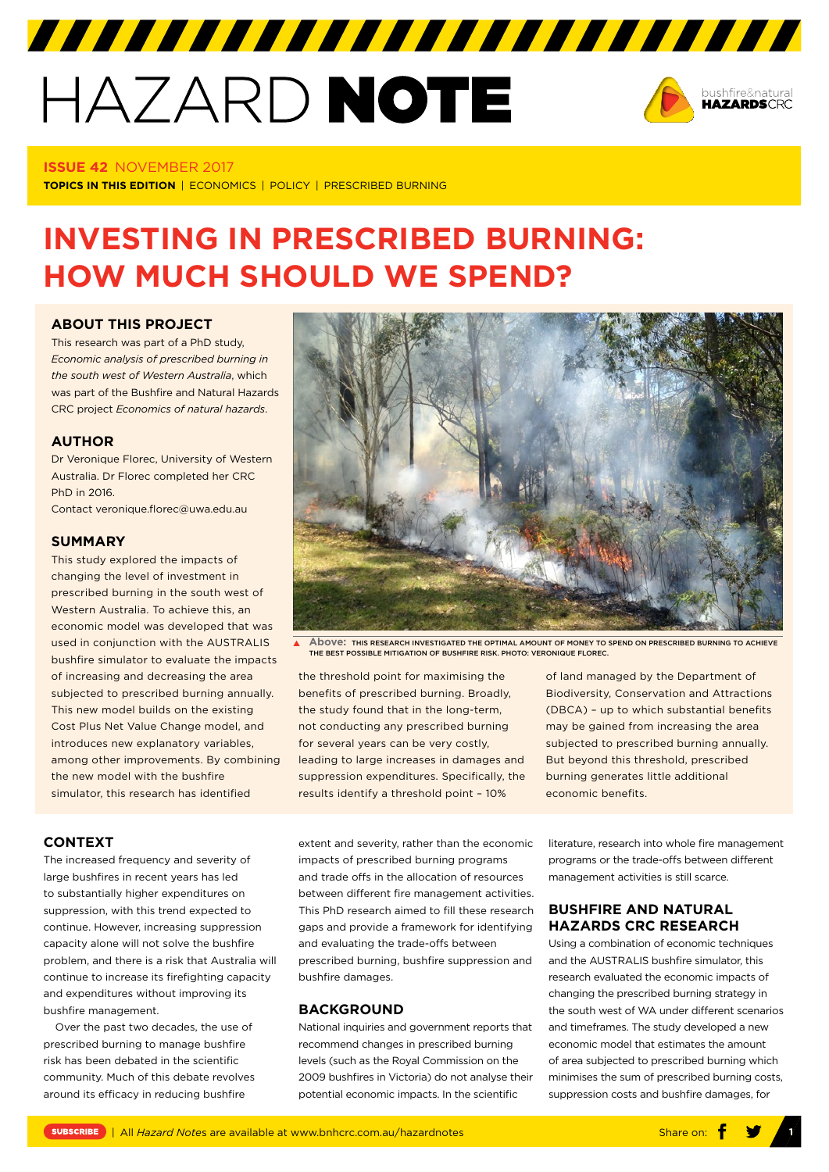# HAZARD NOTE



#### **ISSUE 42** NOVEMBER 2017

**TOPICS IN THIS EDITION** | ECONOMICS | POLICY | PRESCRIBED BURNING

## **INVESTING IN PRESCRIBED BURNING: HOW MUCH SHOULD WE SPEND?**

7777777777777777777777777777777

#### **[ABOUT THIS PROJECT](https://www.bnhcrc.com.au/research/policy-and-economics-hazards/1147)**

This research was part of a PhD study, *Economic analysis of prescribed burning in the south west of Western Australia*, which was part of the Bushfire and Natural Hazards CRC project *Economics of natural hazards*.

#### **AUTHOR**

Dr Veronique Florec, University of Western Australia. Dr Florec completed her CRC PhD in 2016.

Contact veronique.florec@uwa.edu.au

#### **SUMMARY**

This study explored the impacts of changing the level of investment in prescribed burning in the south west of Western Australia. To achieve this, an economic model was developed that was used in conjunction with the AUSTRALIS bushfire simulator to evaluate the impacts of increasing and decreasing the area subjected to prescribed burning annually. This new model builds on the existing Cost Plus Net Value Change model, and introduces new explanatory variables, among other improvements. By combining the new model with the bushfire simulator, this research has identified

**Above:** THIS RESEARCH INVESTIGATED THE OPTIMAL AMOUNT OF MONEY TO SPEND ON PRESCRIBED BURNING TO ACHIEVE THE BEST POSSIBLE MITIGATION OF BUSHFIRE RISK. PHOTO: VERONIQUE FLOREC

the threshold point for maximising the benefits of prescribed burning. Broadly, the study found that in the long-term, not conducting any prescribed burning for several years can be very costly, leading to large increases in damages and suppression expenditures. Specifically, the results identify a threshold point – 10%

of land managed by the Department of Biodiversity, Conservation and Attractions (DBCA) – up to which substantial benefits may be gained from increasing the area subjected to prescribed burning annually. But beyond this threshold, prescribed burning generates little additional economic benefits.

**CONTEXT**

The increased frequency and severity of large bushfires in recent years has led to substantially higher expenditures on suppression, with this trend expected to continue. However, increasing suppression capacity alone will not solve the bushfire problem, and there is a risk that Australia will continue to increase its firefighting capacity and expenditures without improving its bushfire management.

Over the past two decades, the use of prescribed burning to manage bushfire risk has been debated in the scientific community. Much of this debate revolves around its efficacy in reducing bushfire

extent and severity, rather than the economic impacts of prescribed burning programs and trade offs in the allocation of resources between different fire management activities. This PhD research aimed to fill these research gaps and provide a framework for identifying and evaluating the trade-offs between prescribed burning, bushfire suppression and bushfire damages.

#### **BACKGROUND**

National inquiries and government reports that recommend changes in prescribed burning levels (such as the Royal Commission on the 2009 bushfires in Victoria) do not analyse their potential economic impacts. In the scientific

literature, research into whole fire management programs or the trade-offs between different management activities is still scarce.

### **BUSHFIRE AND NATURAL HAZARDS CRC RESEARCH**

Using a combination of economic techniques and the AUSTRALIS bushfire simulator, this research evaluated the economic impacts of changing the prescribed burning strategy in the south west of WA under different scenarios and timeframes. The study developed a new economic model that estimates the amount of area subjected to prescribed burning which minimises the sum of prescribed burning costs, suppression costs and bushfire damages, for